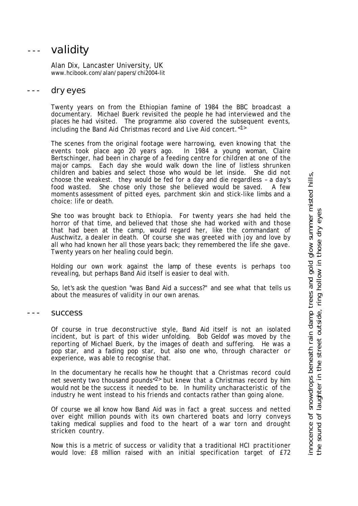# --- validity

Alan Dix, Lancaster University, UK www.hcibook.com/alan/papers/chi2004-lit

### --- dry eyes

Twenty years on from the Ethiopian famine of 1984 the BBC broadcast a documentary. Michael Buerk revisited the people he had interviewed and the places he had visited. The programme also covered the subsequent events, including the Band Aid Christmas record and Live Aid concert.<1>

The scenes from the original footage were harrowing, even knowing that the events took place ago 20 years ago. In 1984 a young woman, Claire Bertschinger, had been in charge of a feeding centre for children at one of the major camps. Each day she would walk down the line of listless shrunken children and babies and select those who would be let inside. She did not choose the weakest. they would be fed for a day and die regardless – a day's food wasted. She chose only those she believed would be saved. A few moments assessment of pitted eyes, parchment skin and stick-like limbs and a choice: life or death.

She too was brought back to Ethiopia. For twenty years she had held the horror of that time, and believed that those she had worked with and those that had been at the camp, would regard her, like the commandant of Auschwitz, a dealer in death. Of course she was greeted with joy and love by all who had known her all those years back; they remembered the life she gave. Twenty years on her healing could begin.

Holding our own work against the lamp of these events is perhaps too revealing, but perhaps Band Aid itself is easier to deal with.

So, let's ask the question "was Band Aid a success?" and see what that tells us about the measures of validity in our own arenas.

#### success

Of course in true deconstructive style, Band Aid itself is not an isolated incident, but is part of this wider unfolding. Bob Geldof was moved by the reporting of Michael Buerk, by the images of death and suffering. He was a pop star, and a fading pop star, but also one who, through character or experience, was able to recognise that.

In the documentary he recalls how he thought that a Christmas record could net seventy two thousand pounds<2> but knew that a Christmas record by him would not be the success it needed to be. In humility uncharacteristic of the industry he went instead to his friends and contacts rather than going alone.

Of course we all know how Band Aid was in fact a great success and netted over eight million pounds with its own chartered boats and lorry conveys taking medical supplies and food to the heart of a war torn and drought stricken country.

Now this is a metric of success or validity that a traditional HCI practitioner would love: £8 million raised with an initial specification target of £72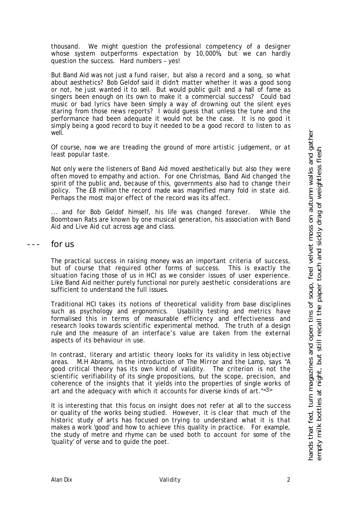thousand. We might question the professional competency of a designer whose system outperforms expectation by 10,000%, but we can hardly question the success. Hard numbers – yes!

But Band Aid was not just a fund raiser, but also a record and a song, so what about aesthetics? Bob Geldof said it didn't matter whether it was a good song or not, he just wanted it to sell. But would public guilt and a hall of fame as singers been enough on its own to make it a commercial success? Could bad music or bad lyrics have been simply a way of drowning out the silent eyes staring from those news reports? I would guess that unless the tune and the performance had been adequate it would not be the case. It is no good it simply being a good record to buy it needed to be a good record to listen to as well.

Of course, now we are treading the ground of more artistic judgement, or at least popular taste.

Not only were the listeners of Band Aid moved aesthetically but also they were often moved to empathy and action. For one Christmas, Band Aid changed the spirit of the public and, because of this, governments also had to change their policy. The £8 million the record made was magnified many fold in state aid. Perhaps the most major effect of the record was its affect.

... and for Bob Geldof himself, his life was changed forever. While the Boomtown Rats are known by one musical generation, his association with Band Aid and Live Aid cut across age and class.

for us

The practical success in raising money was an important criteria of success, but of course that required other forms of success. This is exactly the situation facing those of us in HCI as we consider issues of user experience. Like Band Aid neither purely functional nor purely aesthetic considerations are sufficient to understand the full issues.

Traditional HCI takes its notions of theoretical validity from base disciplines such as psychology and ergonomics. Usability testing and metrics have formalised this in terms of measurable efficiency and effectiveness and research looks towards scientific experimental method. The truth of a design rule and the measure of an interface's value are taken from the external aspects of its behaviour in use.

In contrast, literary and artistic theory looks for its validity in less objective areas. M.H Abrams, in the introduction of *The Mirror and the Lamp*, says "A good critical theory has its own kind of validity. The criterion is not the scientific verifiability of its single propositions, but the scope, precision, and coherence of the insights that it yields into the properties of single works of art and the adequacy with which it accounts for diverse kinds of art."<3>

It is interesting that this focus on insight does not refer at all to the success or quality of the works being studied. However, it is clear that much of the historic study of arts has focused on trying to understand what it is that makes a work 'good' and how to achieve this quality in practice. For example, the study of metre and rhyme can be used both to account for some of the 'quality' of verse and to guide the poet.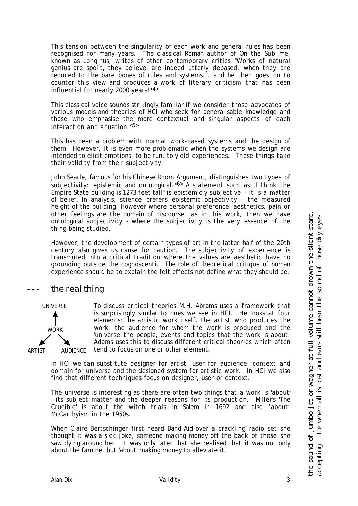This tension between the singularity of each work and general rules has been recognised for many years. The classical Roman author of *On the Sublime*, known as Longinus, writes of other contemporary critics "Works of natural genius are spoilt, they believe, are indeed utterly debased, when they are reduced to the bare bones of rules and systems.", and he then goes on to counter this view and produces a work of literary criticism that has been influential for nearly 2000 years!<4>

This classical voice sounds strikingly familiar if we consider those advocates of various models and theories of HCI who seek for generalisable knowledge and those who emphasise the more contextual and singular aspects of each interaction and situation.<5>

This has been a problem with 'normal' work-based systems and the design of them. However, it is even more problematic when the systems we design are intended to elicit emotions, to be fun, to yield experiences. These things take their validity from their subjectivity.

John Searle, famous for his Chinese Room Argument, distinguishes two types of subjectivity: epistemic and ontological.  $65$  A statement such as "I think the Empire State building is 1273 feet tall" is epistemicly subjective - it is a matter of belief. In analysis, science prefers epistemic objectivity – the measured height of the building. However where personal preference, aesthetics, pain or other feelings are the domain of discourse, as in this work, then we have ontological subjectivity - where the subjectivity is the very essence of the thing being studied.

However, the development of certain types of art in the latter half of the 20th century also gives us cause for caution. The subjectivity of experience is transmuted into a critical tradition where the values are aesthetic have no grounding outside the cognoscenti. The role of theoretical critique of human experience should be to explain the felt effects not define what they should be.

## the real thing



To discuss critical theories M.H. Abrams uses a framework that is surprisingly similar to ones we see in HCI. He looks at four elements: the artistic work itself, the artist who produces the work, the audience for whom the work is produced and the 'universe' the people, events and topics that the work is about. Adams uses this to discuss different critical theories which often tend to focus on one or other element.

In HCI we can substitute designer for artist, user for audience, context and domain for universe and the designed system for artistic work. In HCI we also find that different techniques focus on designer, user or context.

The universe is interesting as there are often two things that a work is 'about' – its subject matter and the deeper reasons for its production. Miller's 'The Crucible' is about the witch trials in Salem in 1692 and also 'about' McCarthyism in the 1950s.

When Claire Bertschinger first heard Band Aid over a crackling radio set she thought it was a sick joke, someone making money off the back of those she saw dying around her. It was only later that she realised that it was not only about the famine, but 'about' making money to alleviate it.